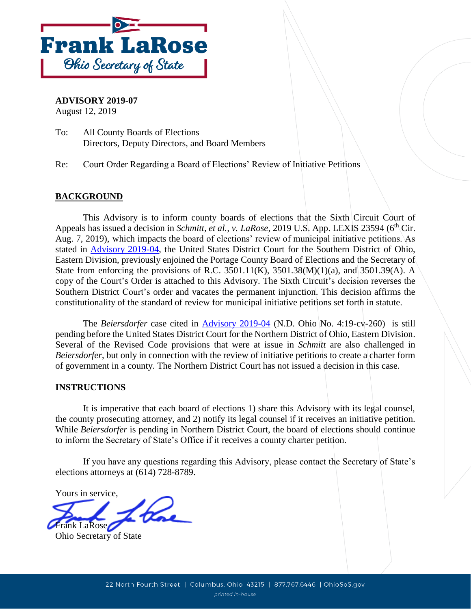

**ADVISORY 2019-07** 

August 12, 2019

To: All County Boards of Elections Directors, Deputy Directors, and Board Members

Re: Court Order Regarding a Board of Elections' Review of Initiative Petitions

## **BACKGROUND**

 This Advisory is to inform county boards of elections that the Sixth Circuit Court of constitutionality of the standard of review for municipal initiative petitions set forth in statute. Appeals has issued a decision in *Schmitt, et al., v. LaRose*, 2019 U.S. App. LEXIS 23594 (6<sup>th</sup> Cir. Aug. 7, 2019), which impacts the board of elections' review of municipal initiative petitions. As stated in [Advisory 2019-04,](https://www.sos.state.oh.us/globalassets/elections/advisories/2019/adv2019-04.pdf) the United States District Court for the Southern District of Ohio, Eastern Division, previously enjoined the Portage County Board of Elections and the Secretary of State from enforcing the provisions of R.C. 3501.11(K), 3501.38(M)(1)(a), and 3501.39(A). A copy of the Court's Order is attached to this Advisory. The Sixth Circuit's decision reverses the Southern District Court's order and vacates the permanent injunction. This decision affirms the

 pending before the United States District Court for the Northern District of Ohio, Eastern Division. Several of the Revised Code provisions that were at issue in *Schmitt* are also challenged in *Beiersdorfer*, but only in connection with the review of initiative petitions to create a charter form The *Beiersdorfer* case cited in [Advisory 2019-04](https://www.sos.state.oh.us/globalassets/elections/advisories/2019/adv2019-04.pdf) (N.D. Ohio No. 4:19-cv-260) is still of government in a county. The Northern District Court has not issued a decision in this case.

## **INSTRUCTIONS**

 It is imperative that each board of elections 1) share this Advisory with its legal counsel, the county prosecuting attorney, and 2) notify its legal counsel if it receives an initiative petition. While *Beiersdorfer* is pending in Northern District Court, the board of elections should continue to inform the Secretary of State's Office if it receives a county charter petition.

 If you have any questions regarding this Advisory, please contact the Secretary of State's elections attorneys at (614) 728-8789.

Yours in service,

Frank LaRose

Ohio Secretary of State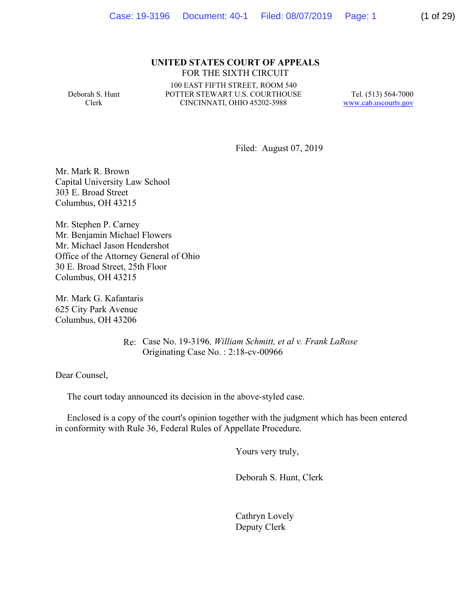### **UNITED STATES COURT OF APPEALS** FOR THE SIXTH CIRCUIT

Deborah S. Hunt Clerk

 POTTER STEWART U.S. COURTHOUSE CINCINNATI, OHIO 45202-3988 100 EAST FIFTH STREET, ROOM 540

Tel. (513) 564-7000 www.ca6.uscourts.gov

Filed: August 07, 2019

Mr. Mark R. Brown Capital University Law School 303 E. Broad Street Columbus, OH 43215

Mr. Stephen P. Carney Mr. Benjamin Michael Flowers Mr. Michael Jason Hendershot Office of the Attorney General of Ohio 30 E. Broad Street, 25th Floor Columbus, OH 43215

Mr. Mark G. Kafantaris 625 City Park Avenue Columbus, OH 43206

> Re: Case No. 19-3196*, William Schmitt, et al v. Frank LaRose*  Originating Case No. : 2:18-cv-00966

Dear Counsel,

The court today announced its decision in the above-styled case.

 Enclosed is a copy of the court's opinion together with the judgment which has been entered in conformity with Rule 36, Federal Rules of Appellate Procedure.

Yours very truly,

Deborah S. Hunt, Clerk

Cathryn Lovely Deputy Clerk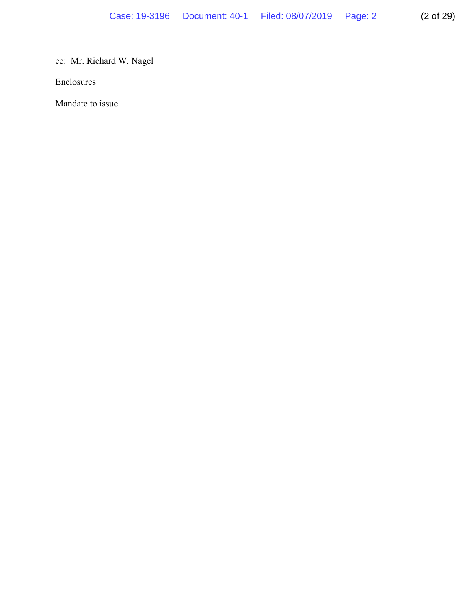cc: Mr. Richard W. Nagel

Enclosures

Mandate to issue.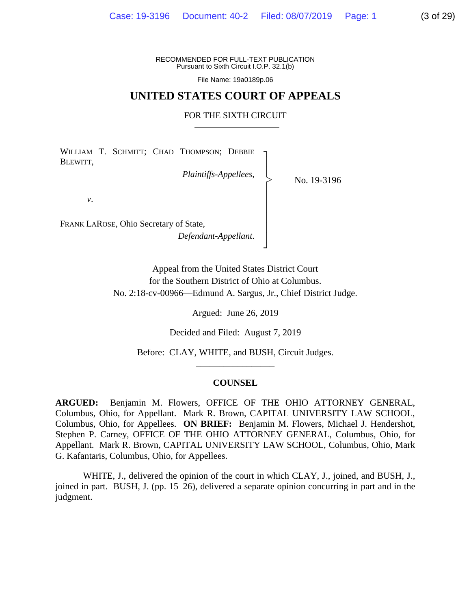File Name: [19a0189p.06](https://19a0189p.06)

### **UNITED STATES COURT OF APPEALS**

### FOR THE SIXTH CIRCUIT

WILLIAM T. SCHMITT; CHAD THOMPSON; DEBBIE BLEWITT,

*Plaintiffs-Appellees*,

No. 19-3196

*v*. │

│ FRANK LAROSE, Ohio Secretary of State, │ *Defendant-Appellant*. │

Appeal from the United States District Court for the Southern District of Ohio at Columbus. No. 2:18-cv-00966—Edmund A. Sargus, Jr., Chief District Judge.

│

┘

Argued: June 26, 2019

Decided and Filed: August 7, 2019

 Before: CLAY, WHITE, and BUSH, Circuit Judges. \_\_\_\_\_\_\_\_\_\_\_\_\_\_\_\_\_

### **COUNSEL**

**ARGUED:**  Columbus, Ohio, for Appellant. Mark R. Brown, CAPITAL UNIVERSITY LAW SCHOOL, Columbus, Ohio, for Appellees. **ON BRIEF:** Benjamin M. Flowers, Michael J. Hendershot, Appellant. Mark R. Brown, CAPITAL UNIVERSITY LAW SCHOOL, Columbus, Ohio, Mark Benjamin M. Flowers, OFFICE OF THE OHIO ATTORNEY GENERAL, Stephen P. Carney, OFFICE OF THE OHIO ATTORNEY GENERAL, Columbus, Ohio, for G. Kafantaris, Columbus, Ohio, for Appellees.

 joined in part. BUSH, J. (pp. 15–26), delivered a separate opinion concurring in part and in the WHITE, J., delivered the opinion of the court in which CLAY, J., joined, and BUSH, J., judgment.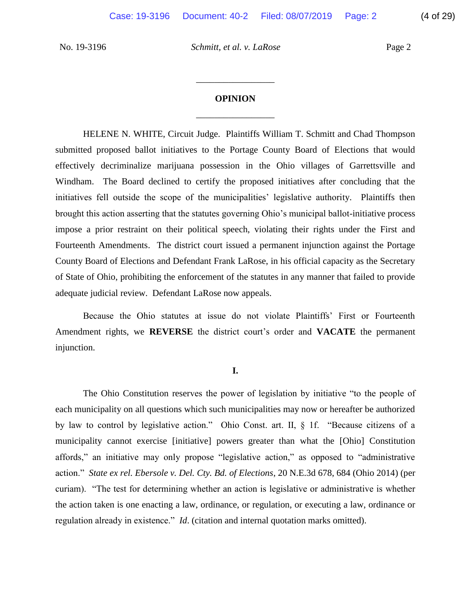# \_\_\_\_\_\_\_\_\_\_\_\_\_\_\_\_\_ **OPINION**

\_\_\_\_\_\_\_\_\_\_\_\_\_\_\_\_\_

 submitted proposed ballot initiatives to the Portage County Board of Elections that would effectively decriminalize marijuana possession in the Ohio villages of Garrettsville and Windham. The Board declined to certify the proposed initiatives after concluding that the initiatives fell outside the scope of the municipalities' legislative authority. Plaintiffs then impose a prior restraint on their political speech, violating their rights under the First and Fourteenth Amendments. The district court issued a permanent injunction against the Portage County Board of Elections and Defendant Frank LaRose, in his official capacity as the Secretary of State of Ohio, prohibiting the enforcement of the statutes in any manner that failed to provide HELENE N. WHITE, Circuit Judge. Plaintiffs William T. Schmitt and Chad Thompson brought this action asserting that the statutes governing Ohio's municipal ballot-initiative process adequate judicial review. Defendant LaRose now appeals.

 Because the Ohio statutes at issue do not violate Plaintiffs' First or Fourteenth Amendment rights, we **REVERSE** the district court's order and **VACATE** the permanent injunction.

### **I.**

 The Ohio Constitution reserves the power of legislation by initiative "to the people of each municipality on all questions which such municipalities may now or hereafter be authorized by law to control by legislative action." Ohio Const. art. II, § 1f. "Because citizens of a municipality cannot exercise [initiative] powers greater than what the [Ohio] Constitution affords," an initiative may only propose "legislative action," as opposed to "administrative action." *State ex rel. Ebersole v. Del. Cty. Bd. of Elections*, 20 N.E.3d 678, 684 (Ohio 2014) (per curiam). "The test for determining whether an action is legislative or administrative is whether the action taken is one enacting a law, ordinance, or regulation, or executing a law, ordinance or regulation already in existence." *Id*. (citation and internal quotation marks omitted).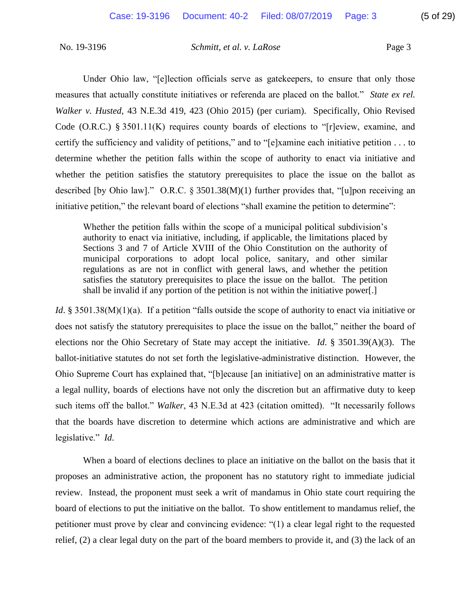Under Ohio law, "[e]lection officials serve as gatekeepers, to ensure that only those measures that actually constitute initiatives or referenda are placed on the ballot." *State ex rel.*  Code (O.R.C.) § 3501.11(K) requires county boards of elections to "[r]eview, examine, and certify the sufficiency and validity of petitions," and to "[e]xamine each initiative petition . . . to determine whether the petition falls within the scope of authority to enact via initiative and described [by Ohio law]." O.R.C. § 3501.38(M)(1) further provides that, "[u]pon receiving an *Walker v. Husted*, 43 N.E.3d 419, 423 (Ohio 2015) (per curiam). Specifically, Ohio Revised whether the petition satisfies the statutory prerequisites to place the issue on the ballot as initiative petition," the relevant board of elections "shall examine the petition to determine":

 Whether the petition falls within the scope of a municipal political subdivision's authority to enact via initiative, including, if applicable, the limitations placed by Sections 3 and 7 of Article XVIII of the Ohio Constitution on the authority of municipal corporations to adopt local police, sanitary, and other similar regulations as are not in conflict with general laws, and whether the petition satisfies the statutory prerequisites to place the issue on the ballot. The petition shall be invalid if any portion of the petition is not within the initiative power[.]

Id. § 3501.38(M)(1)(a). If a petition "falls outside the scope of authority to enact via initiative or does not satisfy the statutory prerequisites to place the issue on the ballot," neither the board of elections nor the Ohio Secretary of State may accept the initiative. *Id*. § 3501.39(A)(3). The ballot-initiative statutes do not set forth the legislative-administrative distinction. However, the Ohio Supreme Court has explained that, "[b]ecause [an initiative] on an administrative matter is a legal nullity, boards of elections have not only the discretion but an affirmative duty to keep such items off the ballot." *Walker*, 43 N.E.3d at 423 (citation omitted). "It necessarily follows legislative." *Id*. that the boards have discretion to determine which actions are administrative and which are

 When a board of elections declines to place an initiative on the ballot on the basis that it proposes an administrative action, the proponent has no statutory right to immediate judicial review. Instead, the proponent must seek a writ of mandamus in Ohio state court requiring the board of elections to put the initiative on the ballot. To show entitlement to mandamus relief, the petitioner must prove by clear and convincing evidence: "(1) a clear legal right to the requested relief, (2) a clear legal duty on the part of the board members to provide it, and (3) the lack of an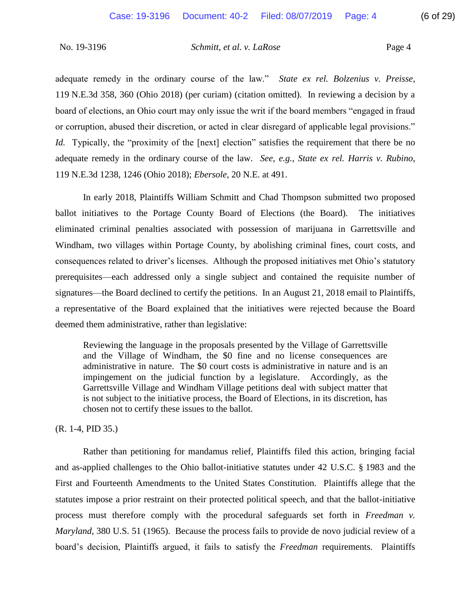adequate remedy in the ordinary course of the law." *State ex rel. Bolzenius v. Preisse*, 119 N.E.3d 358, 360 (Ohio 2018) (per curiam) (citation omitted). In reviewing a decision by a board of elections, an Ohio court may only issue the writ if the board members "engaged in fraud or corruption, abused their discretion, or acted in clear disregard of applicable legal provisions." *Id.* Typically, the "proximity of the [next] election" satisfies the requirement that there be no adequate remedy in the ordinary course of the law. *See, e.g.*, *State ex rel. Harris v. Rubino*, 119 N.E.3d 1238, 1246 (Ohio 2018); *Ebersole*, 20 N.E. at 491.

 In early 2018, Plaintiffs William Schmitt and Chad Thompson submitted two proposed ballot initiatives to the Portage County Board of Elections (the Board). The initiatives Windham, two villages within Portage County, by abolishing criminal fines, court costs, and consequences related to driver's licenses. Although the proposed initiatives met Ohio's statutory prerequisites—each addressed only a single subject and contained the requisite number of a representative of the Board explained that the initiatives were rejected because the Board eliminated criminal penalties associated with possession of marijuana in Garrettsville and signatures—the Board declined to certify the petitions. In an August 21, 2018 email to Plaintiffs, deemed them administrative, rather than legislative:

 Reviewing the language in the proposals presented by the Village of Garrettsville and the Village of Windham, the \$0 fine and no license consequences are administrative in nature. The \$0 court costs is administrative in nature and is an impingement on the judicial function by a legislature. Accordingly, as the Garrettsville Village and Windham Village petitions deal with subject matter that is not subject to the initiative process, the Board of Elections, in its discretion, has chosen not to certify these issues to the ballot.

### (R. 1-4, PID 35.)

 Rather than petitioning for mandamus relief, Plaintiffs filed this action, bringing facial First and Fourteenth Amendments to the United States Constitution. Plaintiffs allege that the statutes impose a prior restraint on their protected political speech, and that the ballot-initiative process must therefore comply with the procedural safeguards set forth in *Freedman v. Maryland*, 380 U.S. 51 (1965). Because the process fails to provide de novo judicial review of a board's decision, Plaintiffs argued, it fails to satisfy the *Freedman* requirements. Plaintiffs and as-applied challenges to the Ohio ballot-initiative statutes under 42 U.S.C. § 1983 and the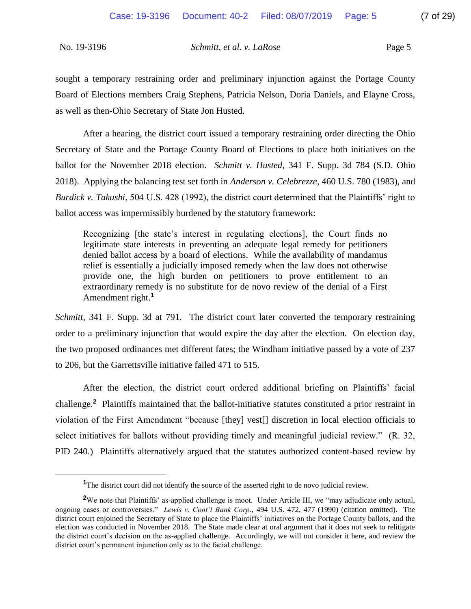$\overline{a}$ 

No. 19-3196 *Schmitt, et al. v. LaRose* Page 5

 sought a temporary restraining order and preliminary injunction against the Portage County Board of Elections members Craig Stephens, Patricia Nelson, Doria Daniels, and Elayne Cross, as well as then-Ohio Secretary of State Jon Husted.

 After a hearing, the district court issued a temporary restraining order directing the Ohio Secretary of State and the Portage County Board of Elections to place both initiatives on the ballot for the November 2018 election. *Schmitt v. Husted*, 341 F. Supp. 3d 784 (S.D. Ohio 2018). Applying the balancing test set forth in *Anderson v. Celebrezze*, 460 U.S. 780 (1983), and *Burdick v. Takushi*, 504 U.S. 428 (1992), the district court determined that the Plaintiffs' right to ballot access was impermissibly burdened by the statutory framework:

 legitimate state interests in preventing an adequate legal remedy for petitioners denied ballot access by a board of elections. While the availability of mandamus relief is essentially a judicially imposed remedy when the law does not otherwise provide one, the high burden on petitioners to prove entitlement to an extraordinary remedy is no substitute for de novo review of the denial of a First Recognizing [the state's interest in regulating elections], the Court finds no Amendment right.**<sup>1</sup>**

 *Schmitt*, 341 F. Supp. 3d at 791. The district court later converted the temporary restraining order to a preliminary injunction that would expire the day after the election. On election day, the two proposed ordinances met different fates; the Windham initiative passed by a vote of 237 to 206, but the Garrettsville initiative failed 471 to 515.

 After the election, the district court ordered additional briefing on Plaintiffs' facial challenge.**<sup>2</sup>** Plaintiffs maintained that the ballot-initiative statutes constituted a prior restraint in select initiatives for ballots without providing timely and meaningful judicial review." (R. 32, PID 240.) Plaintiffs alternatively argued that the statutes authorized content-based review by violation of the First Amendment "because [they] vest[] discretion in local election officials to

<sup>&</sup>lt;sup>1</sup>The district court did not identify the source of the asserted right to de novo judicial review.

 **<sup>2</sup>**We note that Plaintiffs' as-applied challenge is moot. Under Article III, we "may adjudicate only actual, ongoing cases or controversies." *Lewis v. Cont'l Bank Corp*., 494 U.S. 472, 477 (1990) (citation omitted). The district court enjoined the Secretary of State to place the Plaintiffs' initiatives on the Portage County ballots, and the election was conducted in November 2018. The State made clear at oral argument that it does not seek to relitigate the district court's decision on the as-applied challenge. Accordingly, we will not consider it here, and review the district court's permanent injunction only as to the facial challenge.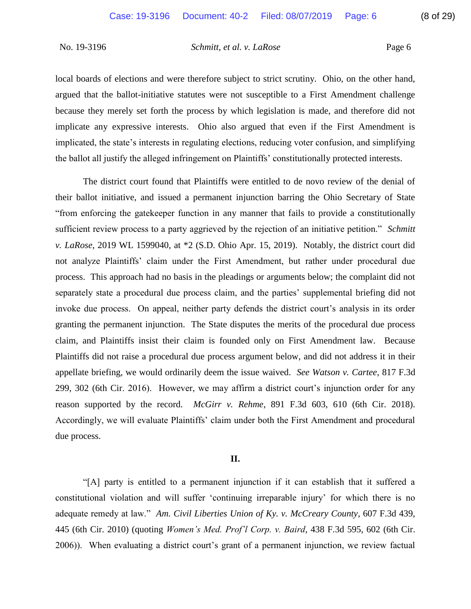local boards of elections and were therefore subject to strict scrutiny. Ohio, on the other hand, because they merely set forth the process by which legislation is made, and therefore did not implicate any expressive interests. Ohio also argued that even if the First Amendment is argued that the ballot-initiative statutes were not susceptible to a First Amendment challenge implicated, the state's interests in regulating elections, reducing voter confusion, and simplifying the ballot all justify the alleged infringement on Plaintiffs' constitutionally protected interests.

 their ballot initiative, and issued a permanent injunction barring the Ohio Secretary of State "from enforcing the gatekeeper function in any manner that fails to provide a constitutionally sufficient review process to a party aggrieved by the rejection of an initiative petition." *Schmitt v. LaRose*, 2019 WL 1599040, at \*2 (S.D. Ohio Apr. 15, 2019). Notably, the district court did separately state a procedural due process claim, and the parties' supplemental briefing did not invoke due process. On appeal, neither party defends the district court's analysis in its order granting the permanent injunction. The State disputes the merits of the procedural due process claim, and Plaintiffs insist their claim is founded only on First Amendment law. Because Plaintiffs did not raise a procedural due process argument below, and did not address it in their appellate briefing, we would ordinarily deem the issue waived. *See Watson v. Cartee*, 817 F.3d 299, 302 (6th Cir. 2016). However, we may affirm a district court's injunction order for any reason supported by the record. *McGirr v. Rehme*, 891 F.3d 603, 610 (6th Cir. 2018). Accordingly, we will evaluate Plaintiffs' claim under both the First Amendment and procedural The district court found that Plaintiffs were entitled to de novo review of the denial of not analyze Plaintiffs' claim under the First Amendment, but rather under procedural due process. This approach had no basis in the pleadings or arguments below; the complaint did not due process.

### **II.**

 "[A] party is entitled to a permanent injunction if it can establish that it suffered a constitutional violation and will suffer 'continuing irreparable injury' for which there is no adequate remedy at law." *Am. Civil Liberties Union of Ky. v. McCreary County*, 607 F.3d 439, 445 (6th Cir. 2010) (quoting *Women's Med. Prof'l Corp. v. Baird*, 438 F.3d 595, 602 (6th Cir. 2006)). When evaluating a district court's grant of a permanent injunction, we review factual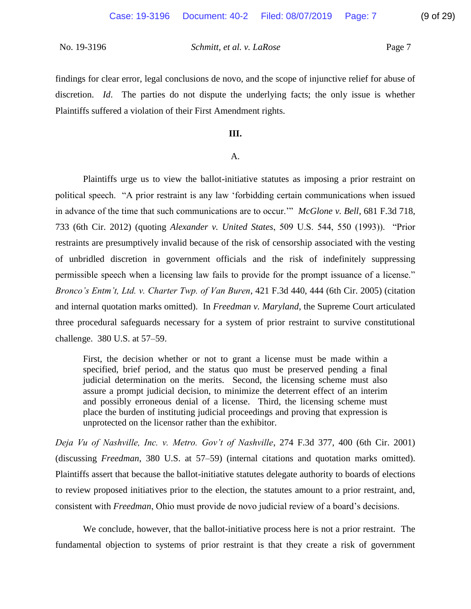findings for clear error, legal conclusions de novo, and the scope of injunctive relief for abuse of discretion. *Id*. The parties do not dispute the underlying facts; the only issue is whether Plaintiffs suffered a violation of their First Amendment rights.

### **III.**

### A.

 Plaintiffs urge us to view the ballot-initiative statutes as imposing a prior restraint on political speech. "A prior restraint is any law 'forbidding certain communications when issued in advance of the time that such communications are to occur.'" *McGlone v. Bell*, 681 F.3d 718, 733 (6th Cir. 2012) (quoting *Alexander v. United States*, 509 U.S. 544, 550 (1993)). "Prior restraints are presumptively invalid because of the risk of censorship associated with the vesting permissible speech when a licensing law fails to provide for the prompt issuance of a license." and internal quotation marks omitted). In *Freedman v. Maryland*, the Supreme Court articulated three procedural safeguards necessary for a system of prior restraint to survive constitutional of unbridled discretion in government officials and the risk of indefinitely suppressing *Bronco's Entm't, Ltd. v. Charter Twp. of Van Buren*, 421 F.3d 440, 444 (6th Cir. 2005) (citation challenge. 380 U.S. at 57–59.

 First, the decision whether or not to grant a license must be made within a judicial determination on the merits. Second, the licensing scheme must also assure a prompt judicial decision, to minimize the deterrent effect of an interim and possibly erroneous denial of a license. Third, the licensing scheme must specified, brief period, and the status quo must be preserved pending a final place the burden of instituting judicial proceedings and proving that expression is unprotected on the licensor rather than the exhibitor.

 *Deja Vu of Nashville, Inc. v. Metro. Gov't of Nashville*, 274 F.3d 377, 400 (6th Cir. 2001) (discussing *Freedman*, 380 U.S. at 57–59) (internal citations and quotation marks omitted). Plaintiffs assert that because the ballot-initiative statutes delegate authority to boards of elections to review proposed initiatives prior to the election, the statutes amount to a prior restraint, and, consistent with *Freedman*, Ohio must provide de novo judicial review of a board's decisions.

 We conclude, however, that the ballot-initiative process here is not a prior restraint. The fundamental objection to systems of prior restraint is that they create a risk of government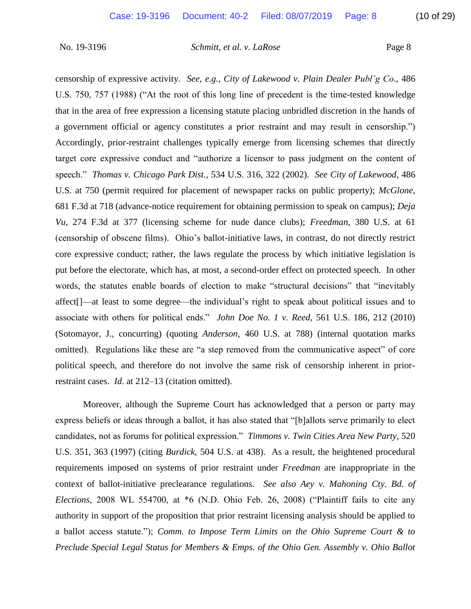censorship of expressive activity. *See, e.g.*, *City of Lakewood v. Plain Dealer Publ'g Co*., 486 U.S. 750, 757 (1988) ("At the root of this long line of precedent is the time-tested knowledge that in the area of free expression a licensing statute placing unbridled discretion in the hands of a government official or agency constitutes a prior restraint and may result in censorship.") Accordingly, prior-restraint challenges typically emerge from licensing schemes that directly target core expressive conduct and "authorize a licensor to pass judgment on the content of speech." *Thomas v. Chicago Park Dist.*, 534 U.S. 316, 322 (2002). *See City of Lakewood*, 486 *Vu*, 274 F.3d at 377 (licensing scheme for nude dance clubs); *Freedman*, 380 U.S. at 61 (censorship of obscene films). Ohio's ballot-initiative laws, in contrast, do not directly restrict core expressive conduct; rather, the laws regulate the process by which initiative legislation is affect[]—at least to some degree—the individual's right to speak about political issues and to associate with others for political ends." *John Doe No. 1 v. Reed*, 561 U.S. 186, 212 (2010) omitted). Regulations like these are "a step removed from the communicative aspect" of core political speech, and therefore do not involve the same risk of censorship inherent in prior-U.S. at 750 (permit required for placement of newspaper racks on public property); *McGlone*, 681 F.3d at 718 (advance-notice requirement for obtaining permission to speak on campus); *Deja*  put before the electorate, which has, at most, a second-order effect on protected speech. In other words, the statutes enable boards of election to make "structural decisions" that "inevitably (Sotomayor, J., concurring) (quoting *Anderson*, 460 U.S. at 788) (internal quotation marks restraint cases. *Id*. at 212–13 (citation omitted).

 Moreover, although the Supreme Court has acknowledged that a person or party may express beliefs or ideas through a ballot, it has also stated that "[b]allots serve primarily to elect candidates, not as forums for political expression." *Timmons v. Twin Cities Area New Party*, 520 U.S. 351, 363 (1997) (citing *Burdick*, 504 U.S. at 438). As a result, the heightened procedural requirements imposed on systems of prior restraint under *Freedman* are inappropriate in the *Elections*, 2008 WL 554700, at \*6 (N.D. Ohio Feb. 26, 2008) ("Plaintiff fails to cite any authority in support of the proposition that prior restraint licensing analysis should be applied to  a ballot access statute."); *Comm. to Impose Term Limits on the Ohio Supreme Court & to*  context of ballot-initiative preclearance regulations. *See also Aey v. Mahoning Cty. Bd. of Preclude Special Legal Status for Members & Emps. of the Ohio Gen. Assembly v. Ohio Ballot*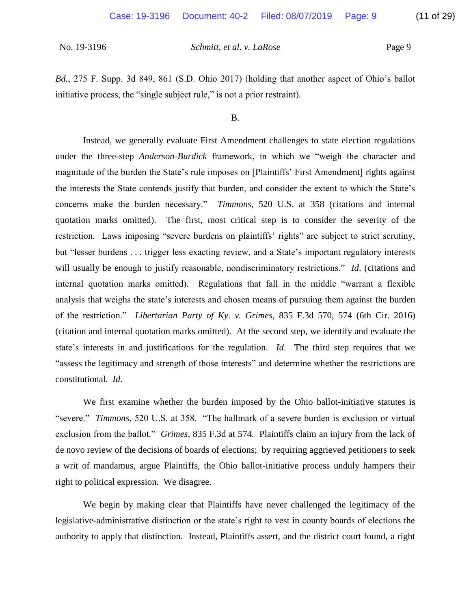*Bd.*, 275 F. Supp. 3d 849, 861 (S.D. Ohio 2017) (holding that another aspect of Ohio's ballot initiative process, the "single subject rule," is not a prior restraint).

B.

 Instead, we generally evaluate First Amendment challenges to state election regulations under the three-step *Anderson*-*Burdick* framework, in which we "weigh the character and the interests the State contends justify that burden, and consider the extent to which the State's concerns make the burden necessary." *Timmons*, 520 U.S. at 358 (citations and internal quotation marks omitted). The first, most critical step is to consider the severity of the restriction. Laws imposing "severe burdens on plaintiffs' rights" are subject to strict scrutiny, but "lesser burdens . . . trigger less exacting review, and a State's important regulatory interests will usually be enough to justify reasonable, nondiscriminatory restrictions." *Id*. (citations and internal quotation marks omitted). Regulations that fall in the middle "warrant a flexible analysis that weighs the state's interests and chosen means of pursuing them against the burden (citation and internal quotation marks omitted). At the second step, we identify and evaluate the state's interests in and justifications for the regulation. *Id*. The third step requires that we "assess the legitimacy and strength of those interests" and determine whether the restrictions are magnitude of the burden the State's rule imposes on [Plaintiffs' First Amendment] rights against of the restriction." *Libertarian Party of Ky. v. Grimes*, 835 F.3d 570, 574 (6th Cir. 2016) constitutional. *Id*.

 We first examine whether the burden imposed by the Ohio ballot-initiative statutes is "severe." *Timmons*, 520 U.S. at 358. "The hallmark of a severe burden is exclusion or virtual exclusion from the ballot." *Grimes*, 835 F.3d at 574. Plaintiffs claim an injury from the lack of a writ of mandamus, argue Plaintiffs, the Ohio ballot-initiative process unduly hampers their de novo review of the decisions of boards of elections; by requiring aggrieved petitioners to seek right to political expression. We disagree.

 We begin by making clear that Plaintiffs have never challenged the legitimacy of the legislative-administrative distinction or the state's right to vest in county boards of elections the authority to apply that distinction. Instead, Plaintiffs assert, and the district court found, a right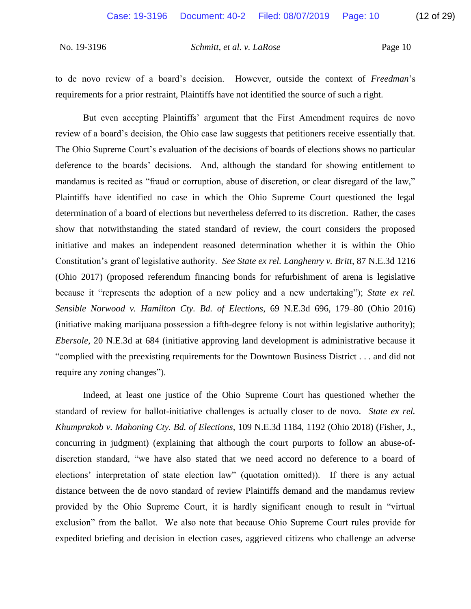to de novo review of a board's decision. However, outside the context of *Freedman*'s requirements for a prior restraint, Plaintiffs have not identified the source of such a right.

 But even accepting Plaintiffs' argument that the First Amendment requires de novo review of a board's decision, the Ohio case law suggests that petitioners receive essentially that. deference to the boards' decisions. And, although the standard for showing entitlement to mandamus is recited as "fraud or corruption, abuse of discretion, or clear disregard of the law," initiative and makes an independent reasoned determination whether it is within the Ohio Constitution's grant of legislative authority. *See State ex rel. Langhenry v. Britt*, 87 N.E.3d 1216 (Ohio 2017) (proposed referendum financing bonds for refurbishment of arena is legislative because it "represents the adoption of a new policy and a new undertaking"); *State ex rel.*  (initiative making marijuana possession a fifth-degree felony is not within legislative authority); *Ebersole*, 20 N.E.3d at 684 (initiative approving land development is administrative because it The Ohio Supreme Court's evaluation of the decisions of boards of elections shows no particular Plaintiffs have identified no case in which the Ohio Supreme Court questioned the legal determination of a board of elections but nevertheless deferred to its discretion. Rather, the cases show that notwithstanding the stated standard of review, the court considers the proposed *Sensible Norwood v. Hamilton Cty. Bd. of Elections*, 69 N.E.3d 696, 179–80 (Ohio 2016) "complied with the preexisting requirements for the Downtown Business District . . . and did not require any zoning changes").

 Indeed, at least one justice of the Ohio Supreme Court has questioned whether the standard of review for ballot-initiative challenges is actually closer to de novo. *State ex rel. Khumprakob v. Mahoning Cty. Bd. of Elections*, 109 N.E.3d 1184, 1192 (Ohio 2018) (Fisher, J., concurring in judgment) (explaining that although the court purports to follow an abuse-of- discretion standard, "we have also stated that we need accord no deference to a board of elections' interpretation of state election law" (quotation omitted)). If there is any actual distance between the de novo standard of review Plaintiffs demand and the mandamus review provided by the Ohio Supreme Court, it is hardly significant enough to result in "virtual exclusion" from the ballot. We also note that because Ohio Supreme Court rules provide for expedited briefing and decision in election cases, aggrieved citizens who challenge an adverse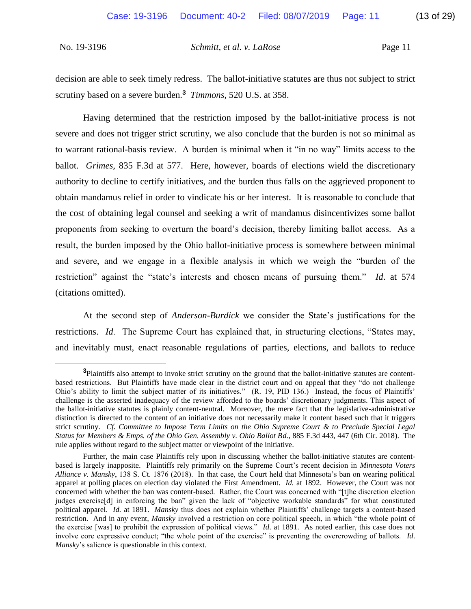decision are able to seek timely redress. The ballot-initiative statutes are thus not subject to strict scrutiny based on a severe burden.**<sup>3</sup>** *Timmons*, 520 U.S. at 358.

 Having determined that the restriction imposed by the ballot-initiative process is not severe and does not trigger strict scrutiny, we also conclude that the burden is not so minimal as to warrant rational-basis review. A burden is minimal when it "in no way" limits access to the authority to decline to certify initiatives, and the burden thus falls on the aggrieved proponent to obtain mandamus relief in order to vindicate his or her interest. It is reasonable to conclude that the cost of obtaining legal counsel and seeking a writ of mandamus disincentivizes some ballot proponents from seeking to overturn the board's decision, thereby limiting ballot access. As a and severe, and we engage in a flexible analysis in which we weigh the "burden of the restriction" against the "state's interests and chosen means of pursuing them." *Id*. at 574 ballot. *Grimes*, 835 F.3d at 577. Here, however, boards of elections wield the discretionary result, the burden imposed by the Ohio ballot-initiative process is somewhere between minimal (citations omitted).

 At the second step of *Anderson*-*Burdick* we consider the State's justifications for the restrictions. *Id*. The Supreme Court has explained that, in structuring elections, "States may, and inevitably must, enact reasonable regulations of parties, elections, and ballots to reduce

 $\overline{a}$ 

 **<sup>3</sup>**Plaintiffs also attempt to invoke strict scrutiny on the ground that the ballot-initiative statutes are content- based restrictions. But Plaintiffs have made clear in the district court and on appeal that they "do not challenge Ohio's ability to limit the subject matter of its initiatives." (R. 19, PID 136.) Instead, the focus of Plaintiffs' challenge is the asserted inadequacy of the review afforded to the boards' discretionary judgments. This aspect of the ballot-initiative statutes is plainly content-neutral. Moreover, the mere fact that the legislative-administrative distinction is directed to the content of an initiative does not necessarily make it content based such that it triggers strict scrutiny. *Cf. Committee to Impose Term Limits on the Ohio Supreme Court & to Preclude Special Legal Status for Members & Emps. of the Ohio Gen. Assembly v. Ohio Ballot Bd.*, 885 F.3d 443, 447 (6th Cir. 2018). The rule applies without regard to the subject matter or viewpoint of the initiative.

 Further, the main case Plaintiffs rely upon in discussing whether the ballot-initiative statutes are content- based is largely inapposite. Plaintiffs rely primarily on the Supreme Court's recent decision in *Minnesota Voters Alliance v. Mansky*, 138 S. Ct. 1876 (2018). In that case, the Court held that Minnesota's ban on wearing political apparel at polling places on election day violated the First Amendment. *Id.* at 1892. However, the Court was not concerned with whether the ban was content-based. Rather, the Court was concerned with "[t]he discretion election judges exercise[d] in enforcing the ban" given the lack of "objective workable standards" for what constituted political apparel. *Id.* at 1891. *Mansky* thus does not explain whether Plaintiffs' challenge targets a content-based restriction. And in any event, *Mansky* involved a restriction on core political speech, in which "the whole point of the exercise [was] to prohibit the expression of political views." *Id*. at 1891. As noted earlier, this case does not involve core expressive conduct; "the whole point of the exercise" is preventing the overcrowding of ballots. *Id*. *Mansky*'s salience is questionable in this context.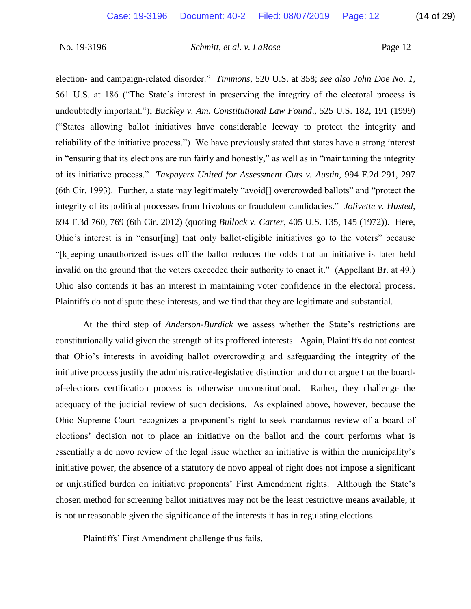election- and campaign-related disorder." *Timmons*, 520 U.S. at 358; *see also John Doe No. 1*, ("States allowing ballot initiatives have considerable leeway to protect the integrity and reliability of the initiative process.") We have previously stated that states have a strong interest in "ensuring that its elections are run fairly and honestly," as well as in "maintaining the integrity of its initiative process." *Taxpayers United for Assessment Cuts v. Austin*, 994 F.2d 291, 297 (6th Cir. 1993). Further, a state may legitimately "avoid[] overcrowded ballots" and "protect the integrity of its political processes from frivolous or fraudulent candidacies." *Jolivette v. Husted*, 694 F.3d 760, 769 (6th Cir. 2012) (quoting *Bullock v. Carter*, 405 U.S. 135, 145 (1972)). Here, Ohio's interest is in "ensur[ing] that only ballot-eligible initiatives go to the voters" because invalid on the ground that the voters exceeded their authority to enact it." (Appellant Br. at 49.) Ohio also contends it has an interest in maintaining voter confidence in the electoral process. 561 U.S. at 186 ("The State's interest in preserving the integrity of the electoral process is undoubtedly important."); *Buckley v. Am. Constitutional Law Found*., 525 U.S. 182, 191 (1999) "[k]eeping unauthorized issues off the ballot reduces the odds that an initiative is later held Plaintiffs do not dispute these interests, and we find that they are legitimate and substantial.

 At the third step of *Anderson*-*Burdick* we assess whether the State's restrictions are constitutionally valid given the strength of its proffered interests. Again, Plaintiffs do not contest that Ohio's interests in avoiding ballot overcrowding and safeguarding the integrity of the of-elections certification process is otherwise unconstitutional. Rather, they challenge the adequacy of the judicial review of such decisions. As explained above, however, because the Ohio Supreme Court recognizes a proponent's right to seek mandamus review of a board of elections' decision not to place an initiative on the ballot and the court performs what is essentially a de novo review of the legal issue whether an initiative is within the municipality's initiative power, the absence of a statutory de novo appeal of right does not impose a significant chosen method for screening ballot initiatives may not be the least restrictive means available, it initiative process justify the administrative-legislative distinction and do not argue that the boardor unjustified burden on initiative proponents' First Amendment rights. Although the State's is not unreasonable given the significance of the interests it has in regulating elections.

Plaintiffs' First Amendment challenge thus fails.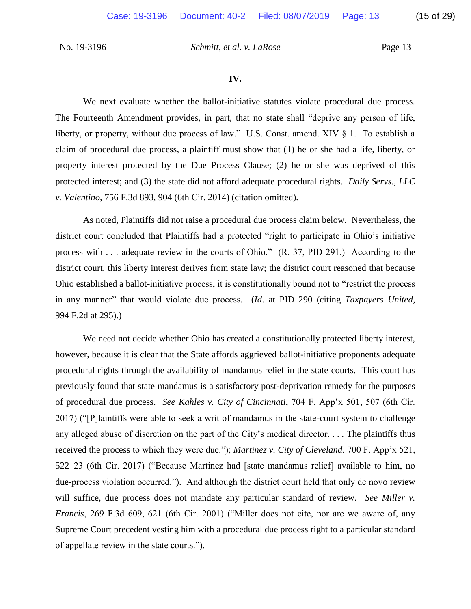We next evaluate whether the ballot-initiative statutes violate procedural due process. The Fourteenth Amendment provides, in part, that no state shall "deprive any person of life, liberty, or property, without due process of law." U.S. Const. amend. XIV § 1. To establish a claim of procedural due process, a plaintiff must show that (1) he or she had a life, liberty, or property interest protected by the Due Process Clause; (2) he or she was deprived of this protected interest; and (3) the state did not afford adequate procedural rights. *Daily Servs., LLC v. Valentino*, 756 F.3d 893, 904 (6th Cir. 2014) (citation omitted).

 process with . . . adequate review in the courts of Ohio." (R. 37, PID 291.) According to the in any manner" that would violate due process. (*Id*. at PID 290 (citing *Taxpayers United*, As noted, Plaintiffs did not raise a procedural due process claim below. Nevertheless, the district court concluded that Plaintiffs had a protected "right to participate in Ohio's initiative district court, this liberty interest derives from state law; the district court reasoned that because Ohio established a ballot-initiative process, it is constitutionally bound not to "restrict the process 994 F.2d at 295).)

 however, because it is clear that the State affords aggrieved ballot-initiative proponents adequate procedural rights through the availability of mandamus relief in the state courts. This court has previously found that state mandamus is a satisfactory post-deprivation remedy for the purposes of procedural due process. *See Kahles v. City of Cincinnati*, 704 F. App'x 501, 507 (6th Cir. 2017) ("[P]laintiffs were able to seek a writ of mandamus in the state-court system to challenge received the process to which they were due."); *Martinez v. City of Cleveland*, 700 F. App'x 521, 522–23 (6th Cir. 2017) ("Because Martinez had [state mandamus relief] available to him, no due-process violation occurred."). And although the district court held that only de novo review will suffice, due process does not mandate any particular standard of review. *See Miller v. Francis*, 269 F.3d 609, 621 (6th Cir. 2001) ("Miller does not cite, nor are we aware of, any We need not decide whether Ohio has created a constitutionally protected liberty interest, any alleged abuse of discretion on the part of the City's medical director. . . . The plaintiffs thus Supreme Court precedent vesting him with a procedural due process right to a particular standard of appellate review in the state courts.").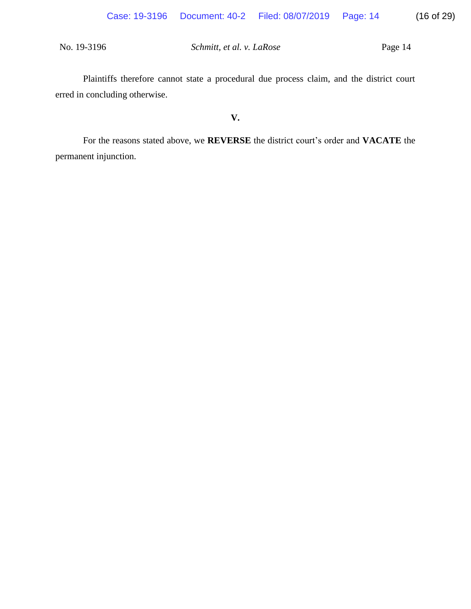Plaintiffs therefore cannot state a procedural due process claim, and the district court erred in concluding otherwise.

## **V.**

For the reasons stated above, we **REVERSE** the district court's order and **VACATE** the permanent injunction.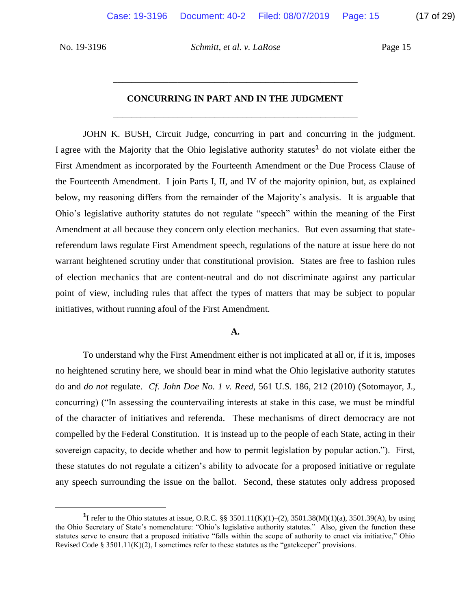$\overline{a}$ 

No. 19-3196 *Schmitt, et al. v. LaRose* Page 15

# \_\_\_\_\_\_\_\_\_\_\_\_\_\_\_\_\_\_\_\_\_\_\_\_\_\_\_\_\_\_\_\_\_\_\_\_\_\_\_\_\_\_\_\_\_\_\_\_\_\_\_\_\_

# \_\_\_\_\_\_\_\_\_\_\_\_\_\_\_\_\_\_\_\_\_\_\_\_\_\_\_\_\_\_\_\_\_\_\_\_\_\_\_\_\_\_\_\_\_\_\_\_\_\_\_\_\_ **CONCURRING IN PART AND IN THE JUDGMENT**

 I agree with the Majority that the Ohio legislative authority statutes**<sup>1</sup>** do not violate either the First Amendment as incorporated by the Fourteenth Amendment or the Due Process Clause of the Fourteenth Amendment. I join Parts I, II, and IV of the majority opinion, but, as explained below, my reasoning differs from the remainder of the Majority's analysis. It is arguable that Ohio's legislative authority statutes do not regulate "speech" within the meaning of the First Amendment at all because they concern only election mechanics. But even assuming that state- referendum laws regulate First Amendment speech, regulations of the nature at issue here do not warrant heightened scrutiny under that constitutional provision. States are free to fashion rules of election mechanics that are content-neutral and do not discriminate against any particular point of view, including rules that affect the types of matters that may be subject to popular JOHN K. BUSH, Circuit Judge, concurring in part and concurring in the judgment. initiatives, without running afoul of the First Amendment.

### **A.**

 To understand why the First Amendment either is not implicated at all or, if it is, imposes no heightened scrutiny here, we should bear in mind what the Ohio legislative authority statutes do and *do not* regulate. *Cf. John Doe No. 1 v. Reed*, 561 U.S. 186, 212 (2010) (Sotomayor, J., concurring) ("In assessing the countervailing interests at stake in this case, we must be mindful of the character of initiatives and referenda. These mechanisms of direct democracy are not compelled by the Federal Constitution. It is instead up to the people of each State, acting in their sovereign capacity, to decide whether and how to permit legislation by popular action."). First, these statutes do not regulate a citizen's ability to advocate for a proposed initiative or regulate any speech surrounding the issue on the ballot. Second, these statutes only address proposed

**<sup>&</sup>lt;sup>1</sup>I** refer to the Ohio statutes at issue, O.R.C. §§ 3501.11(K)(1)–(2), 3501.38(M)(1)(a), 3501.39(A), by using the Ohio Secretary of State's nomenclature: "Ohio's legislative authority statutes." Also, given the function these statutes serve to ensure that a proposed initiative "falls within the scope of authority to enact via initiative," Ohio Revised Code § 3501.11 $(K)(2)$ , I sometimes refer to these statutes as the "gatekeeper" provisions.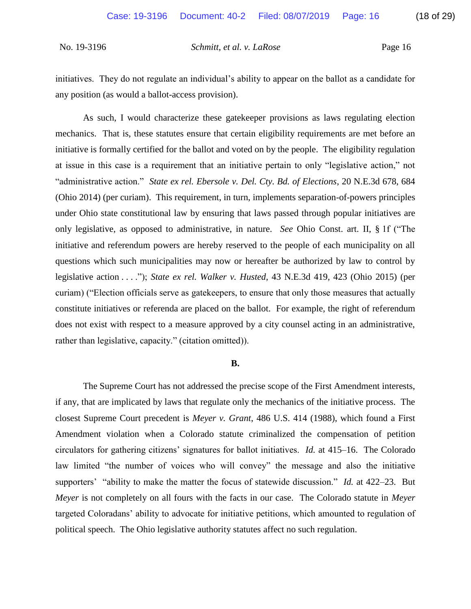initiatives. They do not regulate an individual's ability to appear on the ballot as a candidate for any position (as would a ballot-access provision).

 As such, I would characterize these gatekeeper provisions as laws regulating election mechanics. That is, these statutes ensure that certain eligibility requirements are met before an initiative is formally certified for the ballot and voted on by the people. The eligibility regulation at issue in this case is a requirement that an initiative pertain to only "legislative action," not "administrative action." *State ex rel. Ebersole v. Del. Cty. Bd. of Elections*, 20 N.E.3d 678, 684 under Ohio state constitutional law by ensuring that laws passed through popular initiatives are only legislative, as opposed to administrative, in nature. *See* Ohio Const. art. II, § 1f ("The initiative and referendum powers are hereby reserved to the people of each municipality on all questions which such municipalities may now or hereafter be authorized by law to control by  legislative action . . . ."); *State ex rel. Walker v. Husted*, 43 N.E.3d 419, 423 (Ohio 2015) (per curiam) ("Election officials serve as gatekeepers, to ensure that only those measures that actually constitute initiatives or referenda are placed on the ballot. For example, the right of referendum does not exist with respect to a measure approved by a city counsel acting in an administrative, (Ohio 2014) (per curiam). This requirement, in turn, implements separation-of-powers principles rather than legislative, capacity." (citation omitted)).

### **B.**

 if any, that are implicated by laws that regulate only the mechanics of the initiative process. The closest Supreme Court precedent is *Meyer v. Grant*, 486 U.S. 414 (1988), which found a First circulators for gathering citizens' signatures for ballot initiatives. *Id.* at 415–16. The Colorado law limited "the number of voices who will convey" the message and also the initiative supporters' "ability to make the matter the focus of statewide discussion." *Id.* at 422–23. But *Meyer* is not completely on all fours with the facts in our case. The Colorado statute in *Meyer*  targeted Coloradans' ability to advocate for initiative petitions, which amounted to regulation of The Supreme Court has not addressed the precise scope of the First Amendment interests, Amendment violation when a Colorado statute criminalized the compensation of petition political speech. The Ohio legislative authority statutes affect no such regulation.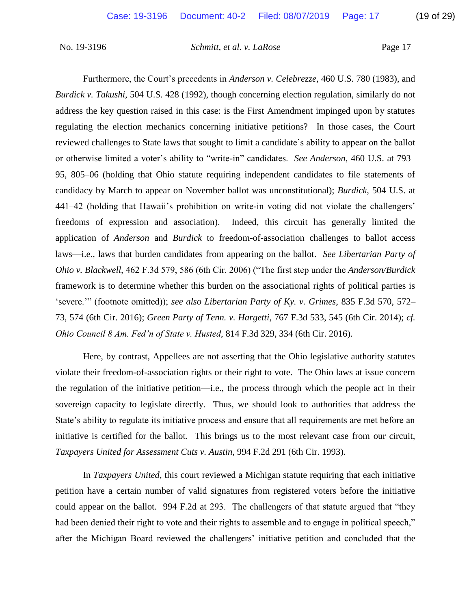Furthermore, the Court's precedents in *Anderson v. Celebrezze*, 460 U.S. 780 (1983), and address the key question raised in this case: is the First Amendment impinged upon by statutes regulating the election mechanics concerning initiative petitions? In those cases, the Court or otherwise limited a voter's ability to "write-in" candidates. *See Anderson*, 460 U.S. at 793– 95, 805–06 (holding that Ohio statute requiring independent candidates to file statements of candidacy by March to appear on November ballot was unconstitutional); *Burdick*, 504 U.S. at framework is to determine whether this burden on the associational rights of political parties is *Burdick v. Takushi*, 504 U.S. 428 (1992), though concerning election regulation, similarly do not reviewed challenges to State laws that sought to limit a candidate's ability to appear on the ballot 441–42 (holding that Hawaii's prohibition on write-in voting did not violate the challengers' freedoms of expression and association). Indeed, this circuit has generally limited the application of *Anderson* and *Burdick* to freedom-of-association challenges to ballot access laws—i.e., laws that burden candidates from appearing on the ballot. *See Libertarian Party of Ohio v. Blackwell*, 462 F.3d 579, 586 (6th Cir. 2006) ("The first step under the *Anderson/Burdick*  'severe.'" (footnote omitted)); *see also Libertarian Party of Ky. v. Grimes*, 835 F.3d 570, 572– 73, 574 (6th Cir. 2016); *Green Party of Tenn. v. Hargetti*, 767 F.3d 533, 545 (6th Cir. 2014); *cf. Ohio Council 8 Am. Fed'n of State v. Husted*, 814 F.3d 329, 334 (6th Cir. 2016).

 Here, by contrast, Appellees are not asserting that the Ohio legislative authority statutes violate their freedom-of-association rights or their right to vote. The Ohio laws at issue concern sovereign capacity to legislate directly. Thus, we should look to authorities that address the State's ability to regulate its initiative process and ensure that all requirements are met before an initiative is certified for the ballot. This brings us to the most relevant case from our circuit, the regulation of the initiative petition—i.e., the process through which the people act in their *Taxpayers United for Assessment Cuts v. Austin*, 994 F.2d 291 (6th Cir. 1993).

 petition have a certain number of valid signatures from registered voters before the initiative could appear on the ballot. 994 F.2d at 293. The challengers of that statute argued that "they after the Michigan Board reviewed the challengers' initiative petition and concluded that the In *Taxpayers United*, this court reviewed a Michigan statute requiring that each initiative had been denied their right to vote and their rights to assemble and to engage in political speech,"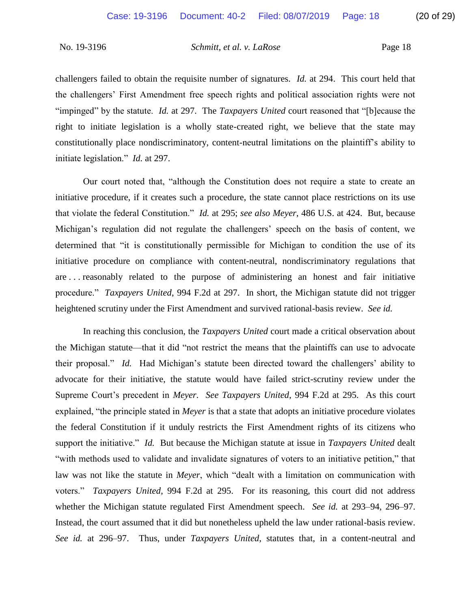"impinged" by the statute. *Id.* at 297. The *Taxpayers United* court reasoned that "[b]ecause the right to initiate legislation is a wholly state-created right, we believe that the state may constitutionally place nondiscriminatory, content-neutral limitations on the plaintiff's ability to initiate legislation." *Id.* at 297. challengers failed to obtain the requisite number of signatures. *Id.* at 294. This court held that the challengers' First Amendment free speech rights and political association rights were not

 Our court noted that, "although the Constitution does not require a state to create an initiative procedure, if it creates such a procedure, the state cannot place restrictions on its use that violate the federal Constitution." *Id.* at 295; *see also Meyer*, 486 U.S. at 424. But, because determined that "it is constitutionally permissible for Michigan to condition the use of its initiative procedure on compliance with content-neutral, nondiscriminatory regulations that procedure." *Taxpayers United*, 994 F.2d at 297. In short, the Michigan statute did not trigger Michigan's regulation did not regulate the challengers' speech on the basis of content, we are . . . reasonably related to the purpose of administering an honest and fair initiative heightened scrutiny under the First Amendment and survived rational-basis review. *See id.* 

 In reaching this conclusion, the *Taxpayers United* court made a critical observation about the Michigan statute—that it did "not restrict the means that the plaintiffs can use to advocate their proposal." *Id.* Had Michigan's statute been directed toward the challengers' ability to advocate for their initiative, the statute would have failed strict-scrutiny review under the the federal Constitution if it unduly restricts the First Amendment rights of its citizens who support the initiative." *Id.* But because the Michigan statute at issue in *Taxpayers United* dealt "with methods used to validate and invalidate signatures of voters to an initiative petition," that law was not like the statute in *Meyer*, which "dealt with a limitation on communication with voters." *Taxpayers United*, 994 F.2d at 295. For its reasoning, this court did not address whether the Michigan statute regulated First Amendment speech. *See id.* at 293–94, 296–97. Instead, the court assumed that it did but nonetheless upheld the law under rational-basis review. Instead, the court assumed that it did but nonetheless upheld the law under rational-basis review. *See id.* at 296–97. Thus, under *Taxpayers United*, statutes that, in a content-neutral and Supreme Court's precedent in *Meyer*. *See Taxpayers United*, 994 F.2d at 295. As this court explained, "the principle stated in *Meyer* is that a state that adopts an initiative procedure violates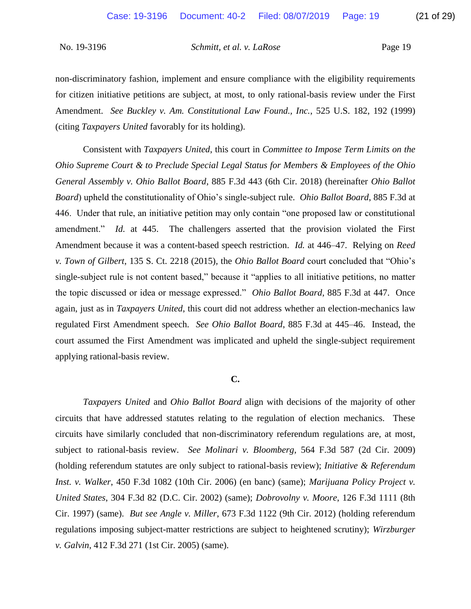non-discriminatory fashion, implement and ensure compliance with the eligibility requirements for citizen initiative petitions are subject, at most, to only rational-basis review under the First  Amendment. *See Buckley v. Am. Constitutional Law Found., Inc.*, 525 U.S. 182, 192 (1999) (citing *Taxpayers United* favorably for its holding).

 Consistent with *Taxpayers United*, this court in *Committee to Impose Term Limits on the Ohio Supreme Court & to Preclude Special Legal Status for Members & Employees of the Ohio*  446. Under that rule, an initiative petition may only contain "one proposed law or constitutional amendment." *Id.* at 445. The challengers asserted that the provision violated the First Amendment because it was a content-based speech restriction. *Id.* at 446–47. Relying on *Reed*  single-subject rule is not content based," because it "applies to all initiative petitions, no matter the topic discussed or idea or message expressed." *Ohio Ballot Board*, 885 F.3d at 447. Once regulated First Amendment speech. *See Ohio Ballot Board*, 885 F.3d at 445–46. Instead, the *General Assembly v. Ohio Ballot Board*, 885 F.3d 443 (6th Cir. 2018) (hereinafter *Ohio Ballot Board*) upheld the constitutionality of Ohio's single-subject rule. *Ohio Ballot Board*, 885 F.3d at *v. Town of Gilbert*, 135 S. Ct. 2218 (2015), the *Ohio Ballot Board* court concluded that "Ohio's again, just as in *Taxpayers United*, this court did not address whether an election-mechanics law court assumed the First Amendment was implicated and upheld the single-subject requirement applying rational-basis review.

### **C.**

 *Taxpayers United* and *Ohio Ballot Board* align with decisions of the majority of other circuits that have addressed statutes relating to the regulation of election mechanics. These circuits have similarly concluded that non-discriminatory referendum regulations are, at most, subject to rational-basis review. *See Molinari v. Bloomberg*, 564 F.3d 587 (2d Cir. 2009) (holding referendum statutes are only subject to rational-basis review); *Initiative & Referendum Inst. v. Walker*, 450 F.3d 1082 (10th Cir. 2006) (en banc) (same); *Marijuana Policy Project v.*  Cir. 1997) (same). *But see Angle v. Miller*, 673 F.3d 1122 (9th Cir. 2012) (holding referendum regulations imposing subject-matter restrictions are subject to heightened scrutiny); *Wirzburger United States*, 304 F.3d 82 (D.C. Cir. 2002) (same); *Dobrovolny v. Moore*, 126 F.3d 1111 (8th *v. Galvin*, 412 F.3d 271 (1st Cir. 2005) (same).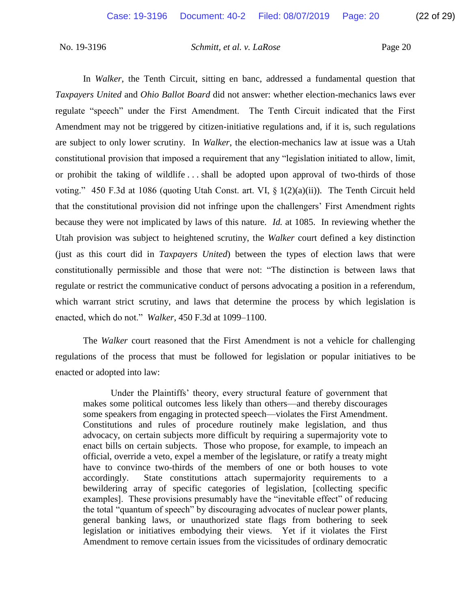regulate "speech" under the First Amendment. The Tenth Circuit indicated that the First Amendment may not be triggered by citizen-initiative regulations and, if it is, such regulations are subject to only lower scrutiny. In *Walker*, the election-mechanics law at issue was a Utah or prohibit the taking of wildlife . . . shall be adopted upon approval of two-thirds of those voting." 450 F.3d at 1086 (quoting Utah Const. art. VI,  $\S$  1(2)(a)(ii)). The Tenth Circuit held that the constitutional provision did not infringe upon the challengers' First Amendment rights because they were not implicated by laws of this nature. *Id.* at 1085. In reviewing whether the Utah provision was subject to heightened scrutiny, the *Walker* court defined a key distinction constitutionally permissible and those that were not: "The distinction is between laws that regulate or restrict the communicative conduct of persons advocating a position in a referendum, In *Walker*, the Tenth Circuit, sitting en banc, addressed a fundamental question that *Taxpayers United* and *Ohio Ballot Board* did not answer: whether election-mechanics laws ever constitutional provision that imposed a requirement that any "legislation initiated to allow, limit, (just as this court did in *Taxpayers United*) between the types of election laws that were which warrant strict scrutiny, and laws that determine the process by which legislation is enacted, which do not." *Walker*, 450 F.3d at 1099–1100.

 The *Walker* court reasoned that the First Amendment is not a vehicle for challenging regulations of the process that must be followed for legislation or popular initiatives to be enacted or adopted into law:

 makes some political outcomes less likely than others—and thereby discourages Constitutions and rules of procedure routinely make legislation, and thus advocacy, on certain subjects more difficult by requiring a supermajority vote to enact bills on certain subjects. Those who propose, for example, to impeach an official, override a veto, expel a member of the legislature, or ratify a treaty might have to convince two-thirds of the members of one or both houses to vote bewildering array of specific categories of legislation, [collecting specific examples]. These provisions presumably have the "inevitable effect" of reducing the total "quantum of speech" by discouraging advocates of nuclear power plants, legislation or initiatives embodying their views. Yet if it violates the First Amendment to remove certain issues from the vicissitudes of ordinary democratic Under the Plaintiffs' theory, every structural feature of government that some speakers from engaging in protected speech—violates the First Amendment. accordingly. State constitutions attach supermajority requirements to a general banking laws, or unauthorized state flags from bothering to seek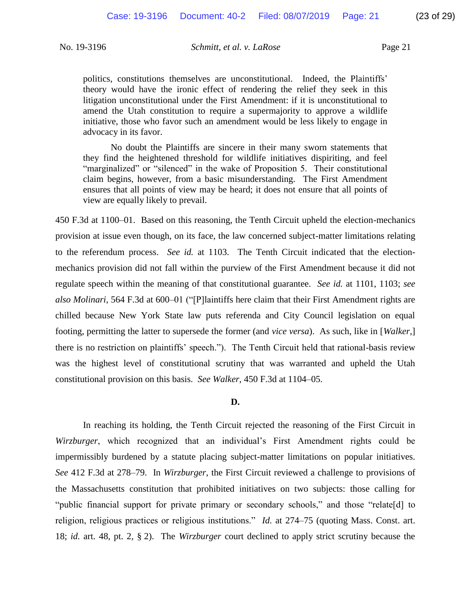theory would have the ironic effect of rendering the relief they seek in this litigation unconstitutional under the First Amendment: if it is unconstitutional to amend the Utah constitution to require a supermajority to approve a wildlife initiative, those who favor such an amendment would be less likely to engage in politics, constitutions themselves are unconstitutional. Indeed, the Plaintiffs' advocacy in its favor.

 No doubt the Plaintiffs are sincere in their many sworn statements that they find the heightened threshold for wildlife initiatives dispiriting, and feel "marginalized" or "silenced" in the wake of Proposition 5. Their constitutional claim begins, however, from a basic misunderstanding. The First Amendment ensures that all points of view may be heard; it does not ensure that all points of view are equally likely to prevail.

 provision at issue even though, on its face, the law concerned subject-matter limitations relating to the referendum process. *See id.* at 1103. The Tenth Circuit indicated that the election- mechanics provision did not fall within the purview of the First Amendment because it did not regulate speech within the meaning of that constitutional guarantee. *See id.* at 1101, 1103; *see*  chilled because New York State law puts referenda and City Council legislation on equal footing, permitting the latter to supersede the former (and *vice versa*). As such, like in [*Walker*,] there is no restriction on plaintiffs' speech."). The Tenth Circuit held that rational-basis review 450 F.3d at 1100–01. Based on this reasoning, the Tenth Circuit upheld the election-mechanics *also Molinari*, 564 F.3d at 600–01 ("[P]laintiffs here claim that their First Amendment rights are was the highest level of constitutional scrutiny that was warranted and upheld the Utah constitutional provision on this basis. *See Walker*, 450 F.3d at 1104–05.

### **D.**

 In reaching its holding, the Tenth Circuit rejected the reasoning of the First Circuit in impermissibly burdened by a statute placing subject-matter limitations on popular initiatives. *See* 412 F.3d at 278–79. In *Wirzburger*, the First Circuit reviewed a challenge to provisions of the Massachusetts constitution that prohibited initiatives on two subjects: those calling for "public financial support for private primary or secondary schools," and those "relate[d] to religion, religious practices or religious institutions." *Id.* at 274–75 (quoting Mass. Const. art. 18; *id.* art. 48, pt. 2, § 2). The *Wirzburger* court declined to apply strict scrutiny because the *Wirzburger*, which recognized that an individual's First Amendment rights could be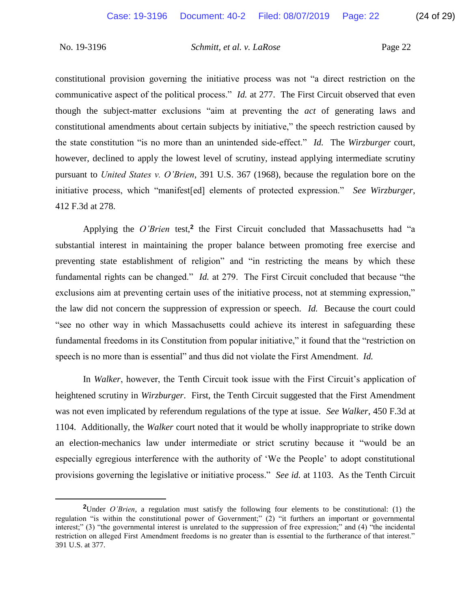$\overline{a}$ 

No. 19-3196 *Schmitt, et al. v. LaRose* Page 22

 constitutional provision governing the initiative process was not "a direct restriction on the communicative aspect of the political process." *Id.* at 277. The First Circuit observed that even constitutional amendments about certain subjects by initiative," the speech restriction caused by the state constitution "is no more than an unintended side-effect." *Id.* The *Wirzburger* court, however, declined to apply the lowest level of scrutiny, instead applying intermediate scrutiny pursuant to *United States v. O'Brien*, 391 U.S. 367 (1968), because the regulation bore on the initiative process, which "manifest[ed] elements of protected expression." *See Wirzburger*, though the subject-matter exclusions "aim at preventing the *act* of generating laws and 412 F.3d at 278.

 substantial interest in maintaining the proper balance between promoting free exercise and preventing state establishment of religion" and "in restricting the means by which these fundamental rights can be changed." *Id.* at 279. The First Circuit concluded that because "the exclusions aim at preventing certain uses of the initiative process, not at stemming expression," the law did not concern the suppression of expression or speech. *Id.* Because the court could "see no other way in which Massachusetts could achieve its interest in safeguarding these Applying the *O'Brien* test,**<sup>2</sup>** the First Circuit concluded that Massachusetts had "a fundamental freedoms in its Constitution from popular initiative," it found that the "restriction on speech is no more than is essential" and thus did not violate the First Amendment. *Id.* 

 In *Walker*, however, the Tenth Circuit took issue with the First Circuit's application of was not even implicated by referendum regulations of the type at issue. *See Walker*, 450 F.3d at 1104. Additionally, the *Walker* court noted that it would be wholly inappropriate to strike down an election-mechanics law under intermediate or strict scrutiny because it "would be an especially egregious interference with the authority of 'We the People' to adopt constitutional provisions governing the legislative or initiative process." *See id.* at 1103. As the Tenth Circuit heightened scrutiny in *Wirzburger*. First, the Tenth Circuit suggested that the First Amendment

 **<sup>2</sup>**Under *O'Brien*, a regulation must satisfy the following four elements to be constitutional: (1) the regulation "is within the constitutional power of Government;" (2) "it furthers an important or governmental interest;" (3) "the governmental interest is unrelated to the suppression of free expression;" and (4) "the incidental restriction on alleged First Amendment freedoms is no greater than is essential to the furtherance of that interest." 391 U.S. at 377.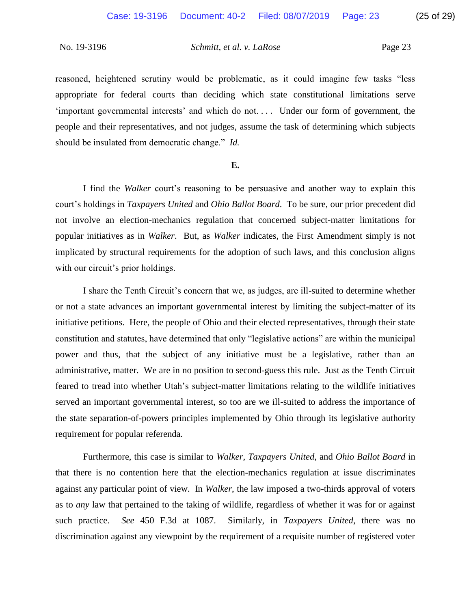reasoned, heightened scrutiny would be problematic, as it could imagine few tasks "less appropriate for federal courts than deciding which state constitutional limitations serve 'important governmental interests' and which do not. . . . Under our form of government, the should be insulated from democratic change." *Id.*  people and their representatives, and not judges, assume the task of determining which subjects

### **E.**

 I find the *Walker* court's reasoning to be persuasive and another way to explain this not involve an election-mechanics regulation that concerned subject-matter limitations for court's holdings in *Taxpayers United* and *Ohio Ballot Board*. To be sure, our prior precedent did popular initiatives as in *Walker*. But, as *Walker* indicates, the First Amendment simply is not implicated by structural requirements for the adoption of such laws, and this conclusion aligns with our circuit's prior holdings.

 I share the Tenth Circuit's concern that we, as judges, are ill-suited to determine whether or not a state advances an important governmental interest by limiting the subject-matter of its initiative petitions. Here, the people of Ohio and their elected representatives, through their state constitution and statutes, have determined that only "legislative actions" are within the municipal power and thus, that the subject of any initiative must be a legislative, rather than an administrative, matter. We are in no position to second-guess this rule. Just as the Tenth Circuit feared to tread into whether Utah's subject-matter limitations relating to the wildlife initiatives served an important governmental interest, so too are we ill-suited to address the importance of the state separation-of-powers principles implemented by Ohio through its legislative authority requirement for popular referenda.

 Furthermore, this case is similar to *Walker*, *Taxpayers United*, and *Ohio Ballot Board* in against any particular point of view. In *Walker*, the law imposed a two-thirds approval of voters as to *any* law that pertained to the taking of wildlife, regardless of whether it was for or against that there is no contention here that the election-mechanics regulation at issue discriminates such practice. *See* 450 F.3d at 1087. Similarly, in *Taxpayers United*, there was no discrimination against any viewpoint by the requirement of a requisite number of registered voter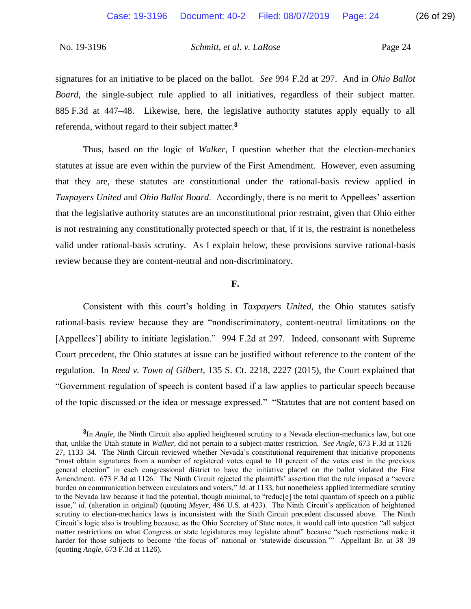signatures for an initiative to be placed on the ballot. *See* 994 F.2d at 297. And in *Ohio Ballot Board*, the single-subject rule applied to all initiatives, regardless of their subject matter. 885 F.3d at 447–48. Likewise, here, the legislative authority statutes apply equally to all referenda, without regard to their subject matter.**<sup>3</sup>**

 Thus, based on the logic of *Walker*, I question whether that the election-mechanics statutes at issue are even within the purview of the First Amendment. However, even assuming that they are, these statutes are constitutional under the rational-basis review applied in *Taxpayers United* and *Ohio Ballot Board*. Accordingly, there is no merit to Appellees' assertion that the legislative authority statutes are an unconstitutional prior restraint, given that Ohio either is not restraining any constitutionally protected speech or that, if it is, the restraint is nonetheless valid under rational-basis scrutiny. As I explain below, these provisions survive rational-basis review because they are content-neutral and non-discriminatory.

### **F.**

 rational-basis review because they are "nondiscriminatory, content-neutral limitations on the [Appellees'] ability to initiate legislation." 994 F.2d at 297. Indeed, consonant with Supreme Court precedent, the Ohio statutes at issue can be justified without reference to the content of the "Government regulation of speech is content based if a law applies to particular speech because of the topic discussed or the idea or message expressed." "Statutes that are not content based on Consistent with this court's holding in *Taxpayers United*, the Ohio statutes satisfy regulation. In *Reed v. Town of Gilbert*, 135 S. Ct. 2218, 2227 (2015), the Court explained that

 $\overline{a}$ 

 **<sup>3</sup>**In *Angle*, the Ninth Circuit also applied heightened scrutiny to a Nevada election-mechanics law, but one that, unlike the Utah statute in *Walker*, did not pertain to a subject-matter restriction. *See Angle*, 673 F.3d at 1126– 27, 1133–34. The Ninth Circuit reviewed whether Nevada's constitutional requirement that initiative proponents "must obtain signatures from a number of registered votes equal to 10 percent of the votes cast in the previous general election" in each congressional district to have the initiative placed on the ballot violated the First Amendment. 673 F.3d at 1126. The Ninth Circuit rejected the plaintiffs' assertion that the rule imposed a "severe burden on communication between circulators and voters," *id.* at 1133, but nonetheless applied intermediate scrutiny to the Nevada law because it had the potential, though minimal, to "reduc[e] the total quantum of speech on a public issue," *id.* (alteration in original) (quoting *Meyer*, 486 U.S. at 423). The Ninth Circuit's application of heightened scrutiny to election-mechanics laws is inconsistent with the Sixth Circuit precedent discussed above. The Ninth Circuit's logic also is troubling because, as the Ohio Secretary of State notes, it would call into question "all subject matter restrictions on what Congress or state legislatures may legislate about" because "such restrictions make it harder for those subjects to become 'the focus of' national or 'statewide discussion.'" Appellant Br. at 38–39 (quoting *Angle*, 673 F.3d at 1126).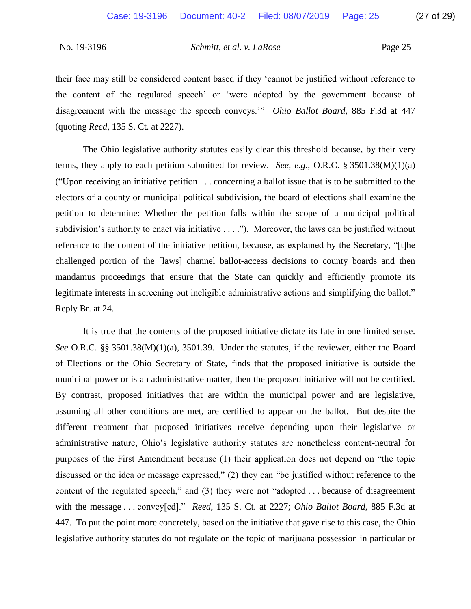their face may still be considered content based if they 'cannot be justified without reference to the content of the regulated speech' or 'were adopted by the government because of disagreement with the message the speech conveys.'" *Ohio Ballot Board*, 885 F.3d at 447 (quoting *Reed*, 135 S. Ct. at 2227).

 The Ohio legislative authority statutes easily clear this threshold because, by their very terms, they apply to each petition submitted for review. *See, e.g.*, O.R.C. § 3501.38(M)(1)(a) ("Upon receiving an initiative petition . . . concerning a ballot issue that is to be submitted to the electors of a county or municipal political subdivision, the board of elections shall examine the petition to determine: Whether the petition falls within the scope of a municipal political reference to the content of the initiative petition, because, as explained by the Secretary, "[t]he challenged portion of the [laws] channel ballot-access decisions to county boards and then mandamus proceedings that ensure that the State can quickly and efficiently promote its legitimate interests in screening out ineligible administrative actions and simplifying the ballot." subdivision's authority to enact via initiative . . . ."). Moreover, the laws can be justified without Reply Br. at 24.

 It is true that the contents of the proposed initiative dictate its fate in one limited sense. municipal power or is an administrative matter, then the proposed initiative will not be certified. By contrast, proposed initiatives that are within the municipal power and are legislative, assuming all other conditions are met, are certified to appear on the ballot. But despite the different treatment that proposed initiatives receive depending upon their legislative or administrative nature, Ohio's legislative authority statutes are nonetheless content-neutral for purposes of the First Amendment because (1) their application does not depend on "the topic discussed or the idea or message expressed," (2) they can "be justified without reference to the content of the regulated speech," and (3) they were not "adopted . . . because of disagreement with the message . . . convey[ed]." *Reed*, 135 S. Ct. at 2227; *Ohio Ballot Board*, 885 F.3d at legislative authority statutes do not regulate on the topic of marijuana possession in particular or *See* O.R.C. §§ 3501.38(M)(1)(a), 3501.39. Under the statutes, if the reviewer, either the Board of Elections or the Ohio Secretary of State, finds that the proposed initiative is outside the 447. To put the point more concretely, based on the initiative that gave rise to this case, the Ohio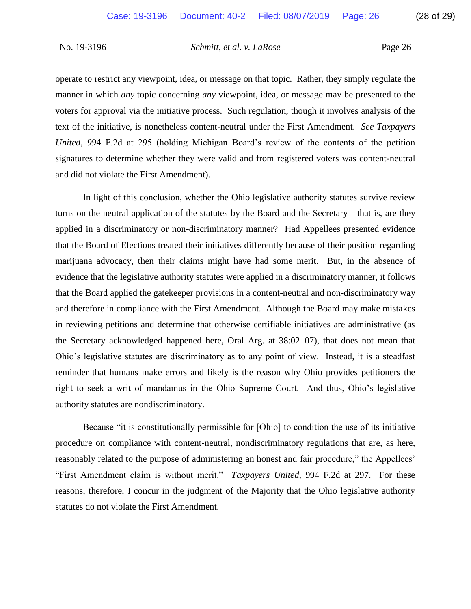operate to restrict any viewpoint, idea, or message on that topic. Rather, they simply regulate the manner in which *any* topic concerning *any* viewpoint, idea, or message may be presented to the voters for approval via the initiative process. Such regulation, though it involves analysis of the  text of the initiative, is nonetheless content-neutral under the First Amendment. *See Taxpayers United*, 994 F.2d at 295 (holding Michigan Board's review of the contents of the petition signatures to determine whether they were valid and from registered voters was content-neutral and did not violate the First Amendment).

 In light of this conclusion, whether the Ohio legislative authority statutes survive review turns on the neutral application of the statutes by the Board and the Secretary—that is, are they applied in a discriminatory or non-discriminatory manner? Had Appellees presented evidence that the Board of Elections treated their initiatives differently because of their position regarding marijuana advocacy, then their claims might have had some merit. But, in the absence of that the Board applied the gatekeeper provisions in a content-neutral and non-discriminatory way and therefore in compliance with the First Amendment. Although the Board may make mistakes in reviewing petitions and determine that otherwise certifiable initiatives are administrative (as Ohio's legislative statutes are discriminatory as to any point of view. Instead, it is a steadfast right to seek a writ of mandamus in the Ohio Supreme Court. And thus, Ohio's legislative evidence that the legislative authority statutes were applied in a discriminatory manner, it follows the Secretary acknowledged happened here, Oral Arg. at 38:02–07), that does not mean that reminder that humans make errors and likely is the reason why Ohio provides petitioners the authority statutes are nondiscriminatory.

 Because "it is constitutionally permissible for [Ohio] to condition the use of its initiative reasonably related to the purpose of administering an honest and fair procedure," the Appellees' "First Amendment claim is without merit." *Taxpayers United*, 994 F.2d at 297. For these reasons, therefore, I concur in the judgment of the Majority that the Ohio legislative authority procedure on compliance with content-neutral, nondiscriminatory regulations that are, as here, statutes do not violate the First Amendment.